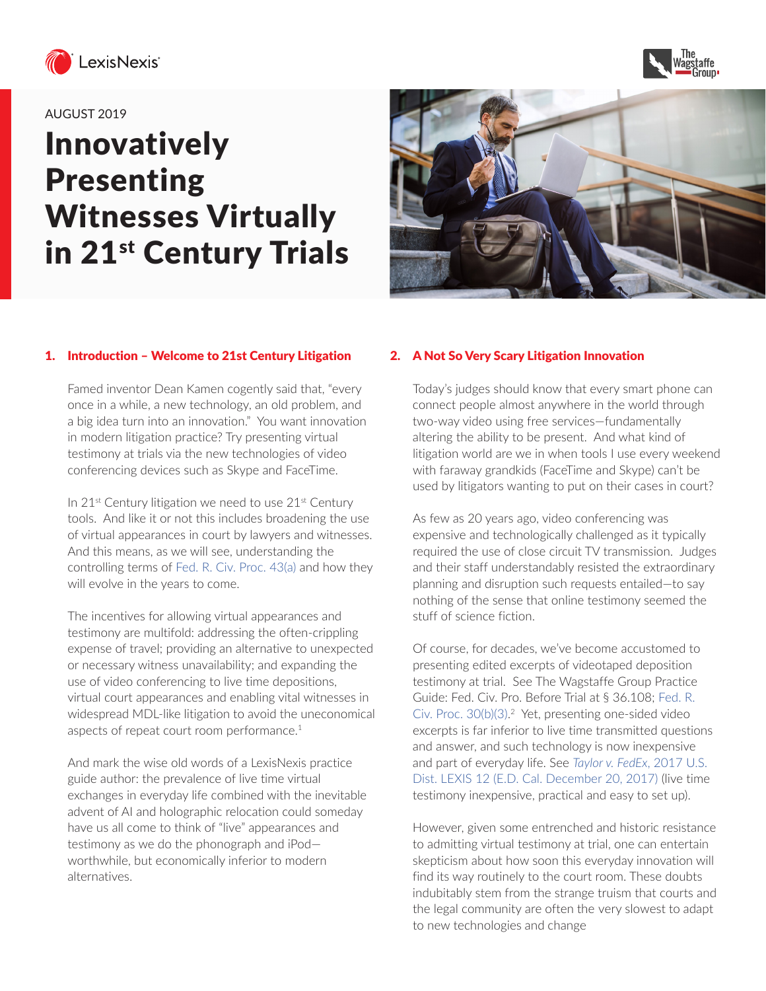



#### AUGUST 2019

# Innovatively Presenting Witnesses Virtually in 21<sup>st</sup> Century Trials



#### 1. Introduction – Welcome to 21st Century Litigation

Famed inventor Dean Kamen cogently said that, "every once in a while, a new technology, an old problem, and a big idea turn into an innovation." You want innovation in modern litigation practice? Try presenting virtual testimony at trials via the new technologies of video conferencing devices such as Skype and FaceTime.

In 21<sup>st</sup> Century litigation we need to use 21<sup>st</sup> Century tools. And like it or not this includes broadening the use of virtual appearances in court by lawyers and witnesses. And this means, as we will see, understanding the controlling terms of [Fed. R. Civ. Proc. 43\(a\)](https://advance.lexis.com/search/?pdmfid=1000516&crid=0be44e08-af7b-47c2-9706-078d88f6546f&pdsearchterms=Fed.+R.+Civ.+Proc.+43(a)&pdtypeofsearch=searchboxclick&pdsearchtype=SearchBox&pdstartin=&pdpsf=&pdqttype=and&pdquerytemplateid=&ecomp=fpb_9kk&earg=pdsf&prid=b9ea05f2-93f1-49b9-a831-0b3298c7fb62) and how they will evolve in the years to come.

The incentives for allowing virtual appearances and testimony are multifold: addressing the often-crippling expense of travel; providing an alternative to unexpected or necessary witness unavailability; and expanding the use of video conferencing to live time depositions, virtual court appearances and enabling vital witnesses in widespread MDL-like litigation to avoid the uneconomical aspects of repeat court room performance.<sup>1</sup>

And mark the wise old words of a LexisNexis practice guide author: the prevalence of live time virtual exchanges in everyday life combined with the inevitable advent of AI and holographic relocation could someday have us all come to think of "live" appearances and testimony as we do the phonograph and iPod worthwhile, but economically inferior to modern alternatives.

#### 2. A Not So Very Scary Litigation Innovation

Today's judges should know that every smart phone can connect people almost anywhere in the world through two-way video using free services—fundamentally altering the ability to be present. And what kind of litigation world are we in when tools I use every weekend with faraway grandkids (FaceTime and Skype) can't be used by litigators wanting to put on their cases in court?

As few as 20 years ago, video conferencing was expensive and technologically challenged as it typically required the use of close circuit TV transmission. Judges and their staff understandably resisted the extraordinary planning and disruption such requests entailed—to say nothing of the sense that online testimony seemed the stuff of science fiction.

Of course, for decades, we've become accustomed to presenting edited excerpts of videotaped deposition testimony at trial. See The Wagstaffe Group Practice Guide: Fed. Civ. Pro. Before Trial at § 36.108; [Fed. R.](https://advance.lexis.com/search/?pdmfid=1000516&crid=e43862a9-76e8-4ad7-a41f-196301648c08&pdsearchterms=Fed.+R.+Civ.+Proc.+30(b)(3)&pdstartin=hlct%3A1%3A1&pdtypeofsearch=searchboxclick&pdsearchtype=SearchBox&pdqttype=and&pdquerytemplateid=&ecomp=b3s9k&prid=0be44e08-af7b-47c2-9706-078d88f6546f) [Civ. Proc. 30\(b\)\(3\).](https://advance.lexis.com/search/?pdmfid=1000516&crid=e43862a9-76e8-4ad7-a41f-196301648c08&pdsearchterms=Fed.+R.+Civ.+Proc.+30(b)(3)&pdstartin=hlct%3A1%3A1&pdtypeofsearch=searchboxclick&pdsearchtype=SearchBox&pdqttype=and&pdquerytemplateid=&ecomp=b3s9k&prid=0be44e08-af7b-47c2-9706-078d88f6546f)<sup>2</sup> Yet, presenting one-sided video excerpts is far inferior to live time transmitted questions and answer, and such technology is now inexpensive and part of everyday life. See *[Taylor v. FedEx](https://advance.lexis.com/document/?pdmfid=1000516&crid=f5399d40-e8be-4d0a-9150-a1ed8a642dc3&pddocfullpath=%2Fshared%2Fdocument%2Fcases%2Furn%3AcontentItem%3A5PG3-NCR1-F04C-T3TP-00000-00&pddocid=urn%3AcontentItem%3A5PG3-NCR1-F04C-T3TP-00000-00&pdcontentcomponentid=6419&pdshepid=urn%3AcontentItem%3A5PGR-W1W1-DXC8-71HJ-00000-00&pdteaserkey=sr0&pditab=allpods&ecomp=9f4Lk&earg=sr0&prid=0fad6b91-7da5-4577-813f-da893f7acd1a)*, 2017 U.S. [Dist. LEXIS 12 \(E.D. Cal. December 20, 2017\)](https://advance.lexis.com/document/?pdmfid=1000516&crid=f5399d40-e8be-4d0a-9150-a1ed8a642dc3&pddocfullpath=%2Fshared%2Fdocument%2Fcases%2Furn%3AcontentItem%3A5PG3-NCR1-F04C-T3TP-00000-00&pddocid=urn%3AcontentItem%3A5PG3-NCR1-F04C-T3TP-00000-00&pdcontentcomponentid=6419&pdshepid=urn%3AcontentItem%3A5PGR-W1W1-DXC8-71HJ-00000-00&pdteaserkey=sr0&pditab=allpods&ecomp=9f4Lk&earg=sr0&prid=0fad6b91-7da5-4577-813f-da893f7acd1a) (live time testimony inexpensive, practical and easy to set up).

However, given some entrenched and historic resistance to admitting virtual testimony at trial, one can entertain skepticism about how soon this everyday innovation will find its way routinely to the court room. These doubts indubitably stem from the strange truism that courts and the legal community are often the very slowest to adapt to new technologies and change.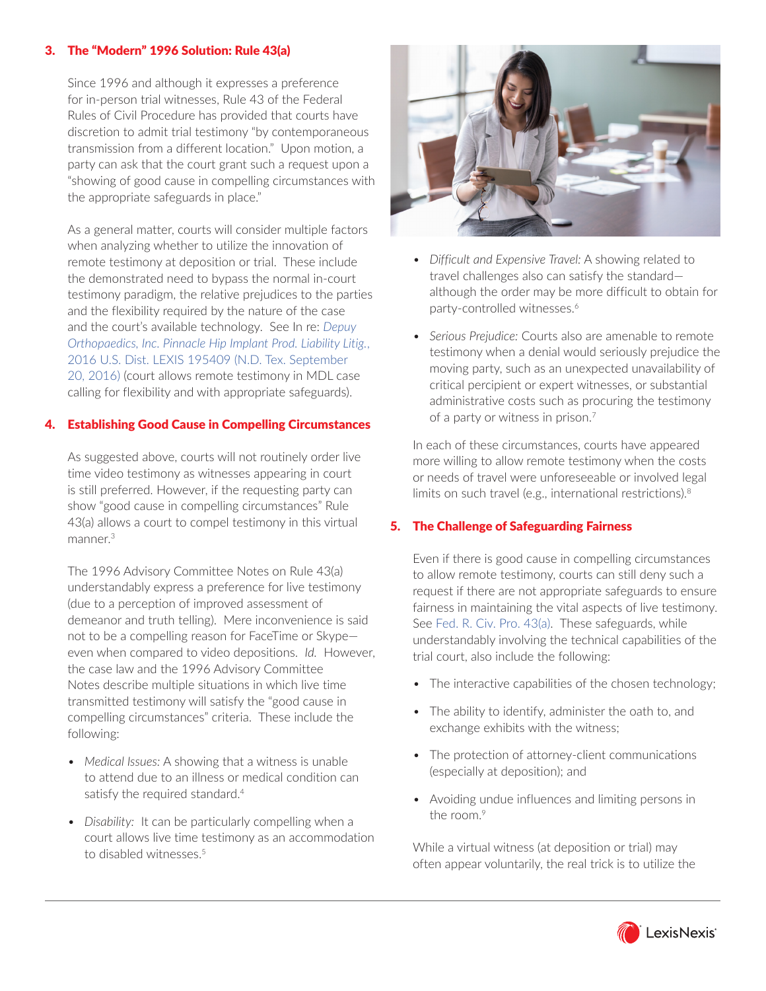## 3. The "Modern" 1996 Solution: Rule 43(a)

Since 1996 and although it expresses a preference for in-person trial witnesses, Rule 43 of the Federal Rules of Civil Procedure has provided that courts have discretion to admit trial testimony "by contemporaneous transmission from a different location." Upon motion, a party can ask that the court grant such a request upon a "showing of good cause in compelling circumstances with the appropriate safeguards in place."

As a general matter, courts will consider multiple factors when analyzing whether to utilize the innovation of remote testimony at deposition or trial. These include the demonstrated need to bypass the normal in-court testimony paradigm, the relative prejudices to the parties and the flexibility required by the nature of the case and the court's available technology. See In re: *[Depuy](https://advance.lexis.com/document/?pdmfid=1000516&crid=f958ffff-cc0b-4e9c-9548-863011460e63&pddocfullpath=%2Fshared%2Fdocument%2Fcases%2Furn%3AcontentItem%3A5V8M-RFY1-FCYK-242J-00000-00&pddocid=urn%3AcontentItem%3A5V8M-RFY1-FCYK-242J-00000-00&pdcontentcomponentid=6415&pdshepid=urn%3AcontentItem%3A5V7N-YBT1-DXC8-7209-00000-00&pdteaserkey=sr9&pditab=allpods&ecomp=9f4Lk&earg=sr9&prid=6372683a-e0a5-46e9-a754-c49e09a87869) [Orthopaedics, Inc. Pinnacle Hip Implant Prod. Liability Litig.](https://advance.lexis.com/document/?pdmfid=1000516&crid=f958ffff-cc0b-4e9c-9548-863011460e63&pddocfullpath=%2Fshared%2Fdocument%2Fcases%2Furn%3AcontentItem%3A5V8M-RFY1-FCYK-242J-00000-00&pddocid=urn%3AcontentItem%3A5V8M-RFY1-FCYK-242J-00000-00&pdcontentcomponentid=6415&pdshepid=urn%3AcontentItem%3A5V7N-YBT1-DXC8-7209-00000-00&pdteaserkey=sr9&pditab=allpods&ecomp=9f4Lk&earg=sr9&prid=6372683a-e0a5-46e9-a754-c49e09a87869)*, 2016 U.S. Dist. LEXIS 195409 (N.D. Tex. September [20, 2016\)](https://advance.lexis.com/document/?pdmfid=1000516&crid=f958ffff-cc0b-4e9c-9548-863011460e63&pddocfullpath=%2Fshared%2Fdocument%2Fcases%2Furn%3AcontentItem%3A5V8M-RFY1-FCYK-242J-00000-00&pddocid=urn%3AcontentItem%3A5V8M-RFY1-FCYK-242J-00000-00&pdcontentcomponentid=6415&pdshepid=urn%3AcontentItem%3A5V7N-YBT1-DXC8-7209-00000-00&pdteaserkey=sr9&pditab=allpods&ecomp=9f4Lk&earg=sr9&prid=6372683a-e0a5-46e9-a754-c49e09a87869) (court allows remote testimony in MDL case calling for flexibility and with appropriate safeguards).

## 4. Establishing Good Cause in Compelling Circumstances

As suggested above, courts will not routinely order live time video testimony as witnesses appearing in court is still preferred. However, if the requesting party can show "good cause in compelling circumstances" Rule 43(a) allows a court to compel testimony in this virtual manner.3

The 1996 Advisory Committee Notes on Rule 43(a) understandably express a preference for live testimony (due to a perception of improved assessment of demeanor and truth telling). Mere inconvenience is said not to be a compelling reason for FaceTime or Skype even when compared to video depositions. *Id.* However, the case law and the 1996 Advisory Committee Notes describe multiple situations in which live time transmitted testimony will satisfy the "good cause in compelling circumstances" criteria. These include the following:

- *• Medical Issues:* A showing that a witness is unable to attend due to an illness or medical condition can satisfy the required standard.<sup>4</sup>
- *• Disability:* It can be particularly compelling when a court allows live time testimony as an accommodation to disabled witnesses.<sup>5</sup>



- *• Difficult and Expensive Travel:* A showing related to travel challenges also can satisfy the standard although the order may be more difficult to obtain for party-controlled witnesses.<sup>6</sup>
- *• Serious Prejudice:* Courts also are amenable to remote testimony when a denial would seriously prejudice the moving party, such as an unexpected unavailability of critical percipient or expert witnesses, or substantial administrative costs such as procuring the testimony of a party or witness in prison.<sup>7</sup>

In each of these circumstances, courts have appeared more willing to allow remote testimony when the costs or needs of travel were unforeseeable or involved legal limits on such travel (e.g., international restrictions).8

## 5. The Challenge of Safeguarding Fairness

Even if there is good cause in compelling circumstances to allow remote testimony, courts can still deny such a request if there are not appropriate safeguards to ensure fairness in maintaining the vital aspects of live testimony. See [Fed. R. Civ. Pro. 43\(a\).](https://advance.lexis.com/search/?pdmfid=1000516&crid=dc6131c8-ab16-404c-8bc7-e9d56403187a&pdsearchterms=Fed.+R.+Civ.+Pro.+43(a)&pdstartin=hlct%3A1%3A1&pdtypeofsearch=searchboxclick&pdsearchtype=SearchBox&pdqttype=and&pdquerytemplateid=&ecomp=b3s9k&prid=f958ffff-cc0b-4e9c-9548-863011460e63) These safeguards, while understandably involving the technical capabilities of the trial court, also include the following:

- The interactive capabilities of the chosen technology;
- The ability to identify, administer the oath to, and exchange exhibits with the witness;
- The protection of attorney-client communications (especially at deposition); and
- Avoiding undue influences and limiting persons in the room.<sup>9</sup>

While a virtual witness (at deposition or trial) may often appear voluntarily, the real trick is to utilize the